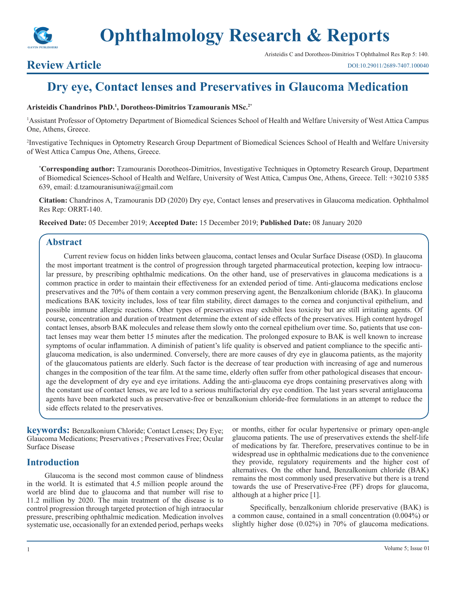

## Aristeidis C and Dorotheos-Dimitrios T Ophthalmol Res Rep 5: 140.

# **Review Article**

DOI:10.29011/2689-7407.100040

# **Dry eye, Contact lenses and Preservatives in Glaucoma Medication**

# **Aristeidis Chandrinos PhD.1 , Dorotheos-Dimitrios Tzamouranis MSc.2\***

1 Assistant Professor of Optometry Department of Biomedical Sciences School of Health and Welfare University of West Attica Campus One, Athens, Greece.

2 Investigative Techniques in Optometry Research Group Department of Biomedical Sciences School of Health and Welfare University of West Attica Campus One, Athens, Greece.

**\* Corresponding author:** Tzamouranis Dorotheos-Dimitrios, Investigative Techniques in Optometry Research Group, Department of Biomedical Sciences-School of Health and Welfare, University of West Attica, Campus One, Athens, Greece. Tell: +30210 5385 639, email: d.tzamouranisuniwa@gmail.com

**Citation:** Chandrinos A, Tzamouranis DD (2020) Dry eye, Contact lenses and preservatives in Glaucoma medication. Ophthalmol Res Rep: ORRT-140.

**Received Date:** 05 December 2019; **Accepted Date:** 15 December 2019; **Published Date:** 08 January 2020

# **Abstract**

Current review focus on hidden links between glaucoma, contact lenses and Ocular Surface Disease (OSD). In glaucoma the most important treatment is the control of progression through targeted pharmaceutical protection, keeping low intraocular pressure, by prescribing ophthalmic medications. On the other hand, use of preservatives in glaucoma medications is a common practice in order to maintain their effectiveness for an extended period of time. Anti-glaucoma medications enclose preservatives and the 70% of them contain a very common preserving agent, the Benzalkonium chloride (BAK). In glaucoma medications BAK toxicity includes, loss of tear film stability, direct damages to the cornea and conjunctival epithelium, and possible immune allergic reactions. Other types of preservatives may exhibit less toxicity but are still irritating agents. Of course, concentration and duration of treatment determine the extent of side effects of the preservatives. High content hydrogel contact lenses, absorb BAK molecules and release them slowly onto the corneal epithelium over time. So, patients that use contact lenses may wear them better 15 minutes after the medication. The prolonged exposure to BAK is well known to increase symptoms of ocular inflammation. A diminish of patient's life quality is observed and patient compliance to the specific antiglaucoma medication, is also undermined. Conversely, there are more causes of dry eye in glaucoma patients, as the majority of the glaucomatous patients are elderly. Such factor is the decrease of tear production with increasing of age and numerous changes in the composition of the tear film. At the same time, elderly often suffer from other pathological diseases that encourage the development of dry eye and eye irritations. Adding the anti-glaucoma eye drops containing preservatives along with the constant use of contact lenses, we are led to a serious multifactorial dry eye condition. The last years several antiglaucoma agents have been marketed such as preservative-free or benzalkonium chloride-free formulations in an attempt to reduce the side effects related to the preservatives.

**keywords:** Benzalkonium Chloride; Contact Lenses; Dry Eye; Glaucoma Medications; Preservatives ; Preservatives Free; Ocular Surface Disease

## **Introduction**

Glaucoma is the second most common cause of blindness in the world. It is estimated that 4.5 million people around the world are blind due to glaucoma and that number will rise to 11.2 million by 2020. The main treatment of the disease is to control progression through targeted protection of high intraocular pressure, prescribing ophthalmic medication. Medication involves systematic use, occasionally for an extended period, perhaps weeks

or months, either for ocular hypertensive or primary open-angle glaucoma patients. The use of preservatives extends the shelf-life of medications by far. Therefore, preservatives continue to be in widespread use in ophthalmic medications due to the convenience they provide, regulatory requirements and the higher cost of alternatives. On the other hand, Benzalkonium chloride (BAK) remains the most commonly used preservative but there is a trend towards the use of Preservative-Free (PF) drops for glaucoma, although at a higher price [1].

Specifically, benzalkonium chloride preservative (BAK) is a common cause, contained in a small concentration (0.004%) or slightly higher dose (0.02%) in 70% of glaucoma medications.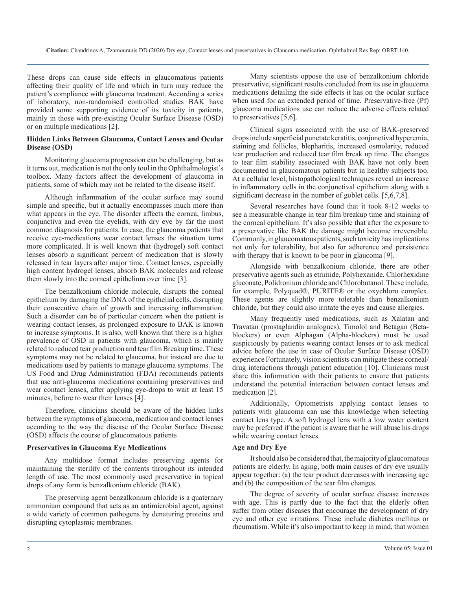These drops can cause side effects in glaucomatous patients affecting their quality of life and which in turn may reduce the patient's compliance with glaucoma treatment. According a series of laboratory, non-randomised controlled studies BAK have provided some supporting evidence of its toxicity in patients, mainly in those with pre-existing Ocular Surface Disease (OSD) or on multiple medications [2].

### **Hidden Links Between Glaucoma, Contact Lenses and Ocular Disease (OSD)**

Monitoring glaucoma progression can be challenging, but as it turns out, medication is not the only tool in the Ophthalmologist's toolbox. Many factors affect the development of glaucoma in patients, some of which may not be related to the disease itself.

Although inflammation of the ocular surface may sound simple and specific, but it actually encompasses much more than what appears in the eye. The disorder affects the cornea, limbus, conjunctiva and even the eyelids, with dry eye by far the most common diagnosis for patients. In case, the glaucoma patients that receive eye-medications wear contact lenses the situation turns more complicated. It is well known that (hydrogel) soft contact lenses absorb a significant percent of medication that is slowly released in tear layers after major time. Contact lenses, especially high content hydrogel lenses, absorb BAK molecules and release them slowly into the corneal epithelium over time [3].

The benzalkonium chloride molecule, disrupts the corneal epithelium by damaging the DNA of the epithelial cells, disrupting their consecutive chain of growth and increasing inflammation. Such a disorder can be of particular concern when the patient is wearing contact lenses, as prolonged exposure to BAK is known to increase symptoms. It is also, well known that there is a higher prevalence of OSD in patients with glaucoma, which is mainly related to reduced tear production and tear film Breakup time. These symptoms may not be related to glaucoma, but instead are due to medications used by patients to manage glaucoma symptoms. The US Food and Drug Administration (FDA) recommends patients that use anti-glaucoma medications containing preservatives and wear contact lenses, after applying eye-drops to wait at least 15 minutes, before to wear their lenses [4].

Therefore, clinicians should be aware of the hidden links between the symptoms of glaucoma, medication and contact lenses according to the way the disease of the Ocular Surface Disease (OSD) affects the course of glaucomatous patients

#### **Preservatives in Glaucoma Eye Medications**

Any multidose format includes preserving agents for maintaining the sterility of the contents throughout its intended length of use. The most commonly used preservative in topical drops of any form is benzalkonium chloride (BAK).

The preserving agent benzalkonium chloride is a quaternary ammonium compound that acts as an antimicrobial agent, against a wide variety of common pathogens by denaturing proteins and disrupting cytoplasmic membranes.

Many scientists oppose the use of benzalkonium chloride preservative, significant results concluded from its use in glaucoma medications detailing the side effects it has on the ocular surface when used for an extended period of time. Preservative-free (Pf) glaucoma medications use can reduce the adverse effects related to preservatives [5,6].

Clinical signs associated with the use of BAK-preserved drops include superficial punctate keratitis, conjunctival hyperemia, staining and follicles, blepharitis, increased osmolarity, reduced tear production and reduced tear film break up time. The changes to tear film stability associated with BAK have not only been documented in glaucomatous patients but in healthy subjects too. At a cellular level, histopathological techniques reveal an increase in inflammatory cells in the conjunctival epithelium along with a significant decrease in the number of goblet cells. [5,6,7,8].

Several researches have found that it took 8-12 weeks to see a measurable change in tear film breakup time and staining of the corneal epithelium. It's also possible that after the exposure to a preservative like BAK the damage might become irreversible. Commonly, in glaucomatous patients, such toxicity has implications not only for tolerability, but also for adherence and persistence with therapy that is known to be poor in glaucoma [9].

Alongside with benzalkonium chloride, there are other preservative agents such as etrimide, Polyhexanide, Chlorhexidine gluconate, Polidronium chloride and Chlorobutanol. These include, for example, Polyquad®, PURITE® or the oxychloro complex. These agents are slightly more tolerable than benzalkonium chloride, but they could also irritate the eyes and cause allergies.

Many frequently used medications, such as Xalatan and Travatan (prostaglandin analogues), Timolol and Betagan (Betablockers) or even Alphagan (Alpha-blockers) must be used suspiciously by patients wearing contact lenses or to ask medical advice before the use in case of Ocular Surface Disease (OSD) experience Fortunately, vision scientists can mitigate these corneal/ drug interactions through patient education [10]. Clinicians must share this information with their patients to ensure that patients understand the potential interaction between contact lenses and medication [2].

Additionally, Optometrists applying contact lenses to patients with glaucoma can use this knowledge when selecting contact lens type. A soft hydrogel lens with a low water content may be preferred if the patient is aware that he will abuse his drops while wearing contact lenses.

#### **Age and Dry Eye**

It should also be considered that, the majority of glaucomatous patients are elderly. In aging, both main causes of dry eye usually appear together: (a) the tear product decreases with increasing age and (b) the composition of the tear film changes.

The degree of severity of ocular surface disease increases with age. This is partly due to the fact that the elderly often suffer from other diseases that encourage the development of dry eye and other eye irritations. These include diabetes mellitus or rheumatism. While it's also important to keep in mind, that women